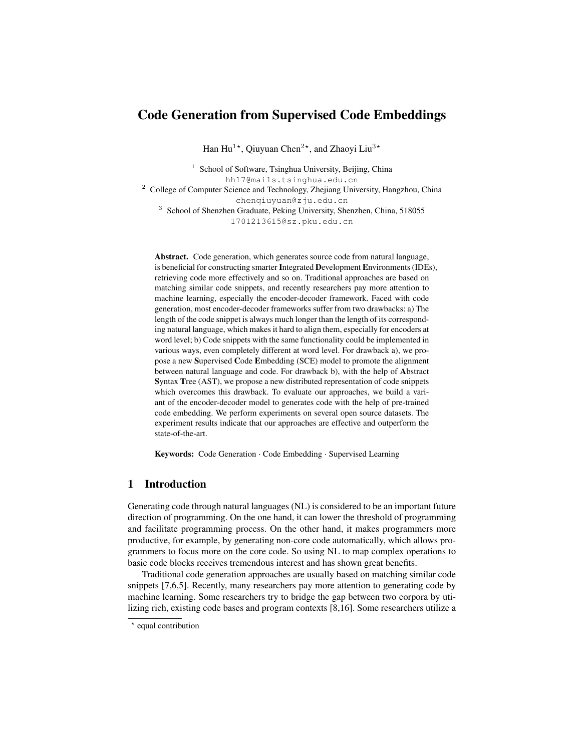# Code Generation from Supervised Code Embeddings

Han Hu<sup>1\*</sup>, Qiuyuan Chen<sup>2\*</sup>, and Zhaoyi Liu<sup>3\*</sup>

<sup>1</sup> School of Software, Tsinghua University, Beijing, China hh17@mails.tsinghua.edu.cn

<sup>2</sup> College of Computer Science and Technology, Zhejiang University, Hangzhou, China chenqiuyuan@zju.edu.cn <sup>3</sup> School of Shenzhen Graduate, Peking University, Shenzhen, China, 518055

1701213615@sz.pku.edu.cn

Abstract. Code generation, which generates source code from natural language, is beneficial for constructing smarter Integrated Development Environments (IDEs), retrieving code more effectively and so on. Traditional approaches are based on matching similar code snippets, and recently researchers pay more attention to machine learning, especially the encoder-decoder framework. Faced with code generation, most encoder-decoder frameworks suffer from two drawbacks: a) The length of the code snippet is always much longer than the length of its corresponding natural language, which makes it hard to align them, especially for encoders at word level; b) Code snippets with the same functionality could be implemented in various ways, even completely different at word level. For drawback a), we propose a new Supervised Code Embedding (SCE) model to promote the alignment between natural language and code. For drawback b), with the help of Abstract Syntax Tree (AST), we propose a new distributed representation of code snippets which overcomes this drawback. To evaluate our approaches, we build a variant of the encoder-decoder model to generates code with the help of pre-trained code embedding. We perform experiments on several open source datasets. The experiment results indicate that our approaches are effective and outperform the state-of-the-art.

Keywords: Code Generation · Code Embedding · Supervised Learning

## <span id="page-0-0"></span>1 Introduction

Generating code through natural languages (NL) is considered to be an important future direction of programming. On the one hand, it can lower the threshold of programming and facilitate programming process. On the other hand, it makes programmers more productive, for example, by generating non-core code automatically, which allows programmers to focus more on the core code. So using NL to map complex operations to basic code blocks receives tremendous interest and has shown great benefits.

Traditional code generation approaches are usually based on matching similar code snippets [\[7,](#page-7-0)[6,](#page-7-1)[5\]](#page-7-2). Recently, many researchers pay more attention to generating code by machine learning. Some researchers try to bridge the gap between two corpora by utilizing rich, existing code bases and program contexts [\[8](#page-7-3)[,16\]](#page-7-4). Some researchers utilize a

<sup>\*</sup> equal contribution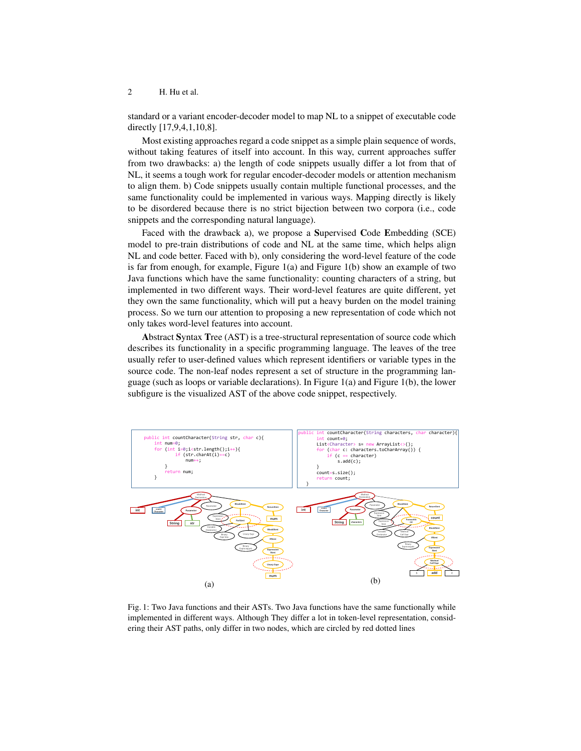#### 2 H. Hu et al.

standard or a variant encoder-decoder model to map NL to a snippet of executable code directly [\[17](#page-7-5)[,9](#page-7-6)[,4](#page-7-7)[,1](#page-7-8)[,10](#page-7-9)[,8\]](#page-7-3).

Most existing approaches regard a code snippet as a simple plain sequence of words, without taking features of itself into account. In this way, current approaches suffer from two drawbacks: a) the length of code snippets usually differ a lot from that of NL, it seems a tough work for regular encoder-decoder models or attention mechanism to align them. b) Code snippets usually contain multiple functional processes, and the same functionality could be implemented in various ways. Mapping directly is likely to be disordered because there is no strict bijection between two corpora (i.e., code snippets and the corresponding natural language).

Faced with the drawback a), we propose a Supervised Code Embedding (SCE) model to pre-train distributions of code and NL at the same time, which helps align NL and code better. Faced with b), only considering the word-level feature of the code is far from enough, for example, Figure  $1(a)$  and Figure  $1(b)$  show an example of two Java functions which have the same functionality: counting characters of a string, but implemented in two different ways. Their word-level features are quite different, yet they own the same functionality, which will put a heavy burden on the model training process. So we turn our attention to proposing a new representation of code which not only takes word-level features into account.

Abstract Syntax Tree (AST) is a tree-structural representation of source code which describes its functionality in a specific programming language. The leaves of the tree usually refer to user-defined values which represent identifiers or variable types in the source code. The non-leaf nodes represent a set of structure in the programming lan-guage (such as loops or variable declarations). In Figure [1\(a\)](#page-1-0) and Figure [1\(b\),](#page-1-1) the lower subfigure is the visualized AST of the above code snippet, respectively.

<span id="page-1-2"></span><span id="page-1-1"></span><span id="page-1-0"></span>

Fig. 1: Two Java functions and their ASTs. Two Java functions have the same functionally while implemented in different ways. Although They differ a lot in token-level representation, considering their AST paths, only differ in two nodes, which are circled by red dotted lines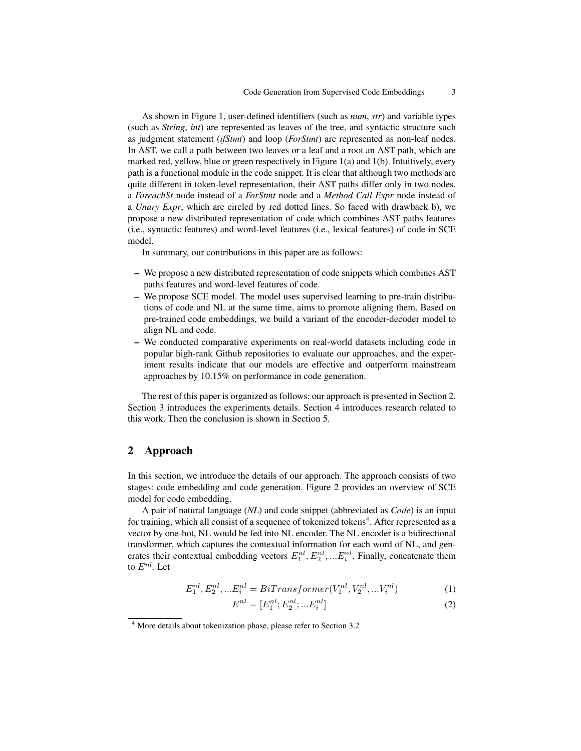As shown in Figure [1,](#page-1-2) user-defined identifiers (such as *num*, *str*) and variable types (such as *String*, *int*) are represented as leaves of the tree, and syntactic structure such as judgment statement (*ifStmt*) and loop (*ForStmt*) are represented as non-leaf nodes. In AST, we call a path between two leaves or a leaf and a root an AST path, which are marked red, yellow, blue or green respectively in Figure [1\(a\)](#page-1-0) and [1\(b\).](#page-1-1) Intuitively, every path is a functional module in the code snippet. It is clear that although two methods are quite different in token-level representation, their AST paths differ only in two nodes, a *ForeachSt* node instead of a *ForStmt* node and a *Method Call Expr* node instead of a *Unary Expr*, which are circled by red dotted lines. So faced with drawback b), we propose a new distributed representation of code which combines AST paths features (i.e., syntactic features) and word-level features (i.e., lexical features) of code in SCE model.

In summary, our contributions in this paper are as follows:

- We propose a new distributed representation of code snippets which combines AST paths features and word-level features of code.
- We propose SCE model. The model uses supervised learning to pre-train distributions of code and NL at the same time, aims to promote aligning them. Based on pre-trained code embeddings, we build a variant of the encoder-decoder model to align NL and code.
- We conducted comparative experiments on real-world datasets including code in popular high-rank Github repositories to evaluate our approaches, and the experiment results indicate that our models are effective and outperform mainstream approaches by 10.15% on performance in code generation.

The rest of this paper is organized as follows: our approach is presented in Section [2.](#page-2-0) Section [3](#page-4-0) introduces the experiments details. Section [4](#page-6-0) introduces research related to this work. Then the conclusion is shown in Section [5.](#page-6-1)

## <span id="page-2-0"></span>2 Approach

In this section, we introduce the details of our approach. The approach consists of two stages: code embedding and code generation. Figure [2](#page-3-0) provides an overview of SCE model for code embedding.

A pair of natural language (*NL*) and code snippet (abbreviated as *Code*) is an input for training, which all consist of a sequence of tokenized tokens<sup>[4](#page-2-1)</sup>. After represented as a vector by one-hot, NL would be fed into NL encoder. The NL encoder is a bidirectional transformer, which captures the contextual information for each word of NL, and generates their contextual embedding vectors  $E_1^{nl}, E_2^{nl}, ... E_i^{nl}$ . Finally, concatenate them to  $E^{nl}$ . Let

$$
E_1^{nl}, E_2^{nl}, ... E_i^{nl} = BiTransformer(V_1^{nl}, V_2^{nl}, ... V_i^{nl})
$$
\n(1)

$$
E^{nl} = [E_1^{nl}; E_2^{nl};...E_i^{nl}]
$$
\n(2)

<span id="page-2-1"></span><sup>4</sup> More details about tokenization phase, please refer to Section [3.2](#page-5-0)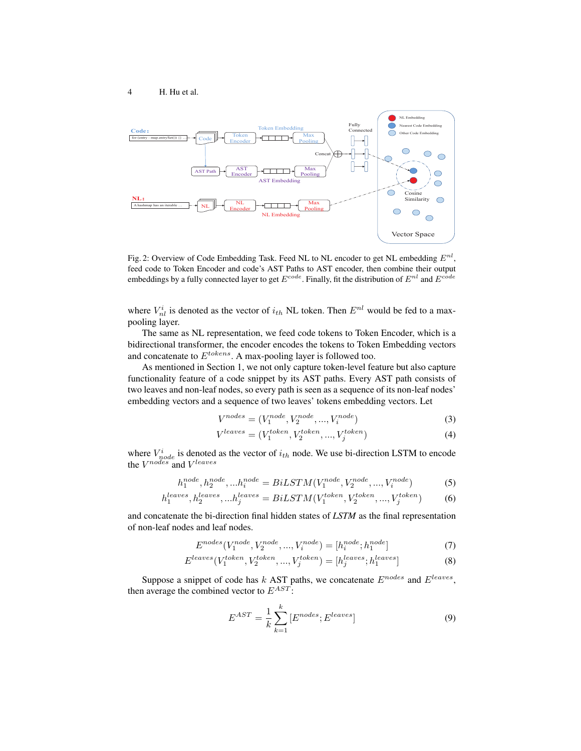<span id="page-3-0"></span>

Fig. 2: Overview of Code Embedding Task. Feed NL to NL encoder to get NL embedding  $E^{nl}$ , feed code to Token Encoder and code's AST Paths to AST encoder, then combine their output embeddings by a fully connected layer to get  $E^{code}$  . Finally, fit the distribution of  $E^{nl}$  and  $E^{code}$ 

where  $V_{nl}^i$  is denoted as the vector of  $i_{th}$  NL token. Then  $E^{nl}$  would be fed to a maxpooling layer.

The same as NL representation, we feed code tokens to Token Encoder, which is a bidirectional transformer, the encoder encodes the tokens to Token Embedding vectors and concatenate to  $E^{tokens}$ . A max-pooling layer is followed too.

As mentioned in Section [1,](#page-0-0) we not only capture token-level feature but also capture functionality feature of a code snippet by its AST paths. Every AST path consists of two leaves and non-leaf nodes, so every path is seen as a sequence of its non-leaf nodes' embedding vectors and a sequence of two leaves' tokens embedding vectors. Let

$$
V^{nodes} = (V_1^{node}, V_2^{node}, ..., V_i^{node})
$$
\n(3)

$$
V^{leaves} = (V_1^{token}, V_2^{token}, ..., V_j^{token})
$$
\n(4)

where  $V_{node}^i$  is denoted as the vector of  $i_{th}$  node. We use bi-direction LSTM to encode the  $V^{nodes}$  and  $V^{leaves}$ 

$$
h_1^{node}, h_2^{node}, \dots, h_i^{node} = BiLSTM(V_1^{node}, V_2^{node}, \dots, V_i^{node})
$$
 (5)

$$
h_1^{leaves}, h_2^{leaves}, \dots h_j^{leaves} = BiLSTM(V_1^{token}, V_2^{token}, \dots, V_j^{token})
$$
 (6)

and concatenate the bi-direction final hidden states of *LSTM* as the final representation of non-leaf nodes and leaf nodes.

$$
E^{nodes}(V_1^{node}, V_2^{node}, ..., V_i^{node}) = [h_i^{node}; h_1^{node}]
$$
\n(7)

$$
E^{leaves}(V_1^{token}, V_2^{token}, ..., V_j^{token}) = [h_j^{leaves}; h_1^{leaves}]
$$
\n(8)

Suppose a snippet of code has  $k$  AST paths, we concatenate  $E^{nodes}$  and  $E^{leaves}$ , then average the combined vector to  $E^{AST}$ :

$$
E^{AST} = \frac{1}{k} \sum_{k=1}^{k} [E^{nodes}; E^{leaves}]
$$
\n(9)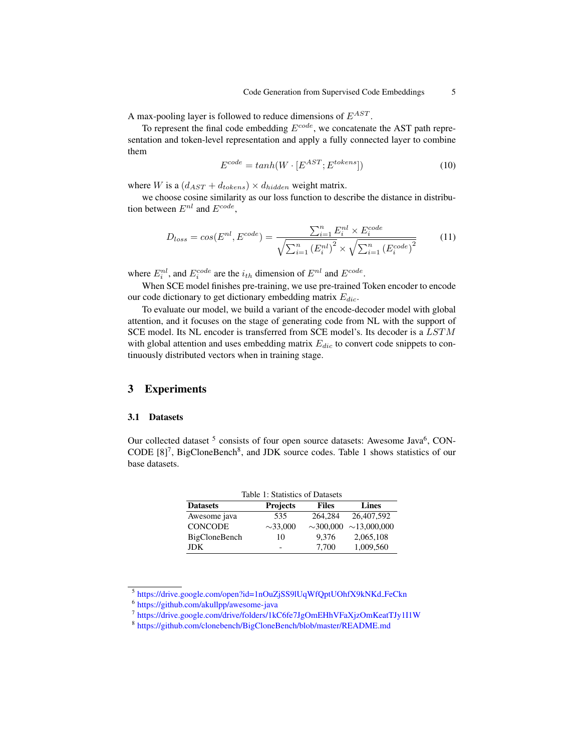A max-pooling layer is followed to reduce dimensions of  $E^{AST}$ .

To represent the final code embedding  $E^{code}$ , we concatenate the AST path representation and token-level representation and apply a fully connected layer to combine them

$$
E^{code} = tanh(W \cdot [E^{AST}; E^{tokens}])
$$
\n(10)

where W is a  $(d_{AST} + d_{tokens}) \times d_{hidden}$  weight matrix.

we choose cosine similarity as our loss function to describe the distance in distribution between  $E^{nl}$  and  $E^{code}$ ,

$$
D_{loss} = \cos(E^{nl}, E^{code}) = \frac{\sum_{i=1}^{n} E_i^{nl} \times E_i^{code}}{\sqrt{\sum_{i=1}^{n} (E_i^{nl})^2} \times \sqrt{\sum_{i=1}^{n} (E_i^{code})^2}}
$$
(11)

where  $E_i^{nl}$ , and  $E_i^{code}$  are the  $i_{th}$  dimension of  $E^{nl}$  and  $E^{code}$ .

When SCE model finishes pre-training, we use pre-trained Token encoder to encode our code dictionary to get dictionary embedding matrix  $E_{dic}$ .

To evaluate our model, we build a variant of the encode-decoder model with global attention, and it focuses on the stage of generating code from NL with the support of SCE model. Its NL encoder is transferred from SCE model's. Its decoder is a LSTM with global attention and uses embedding matrix  $E_{dic}$  to convert code snippets to continuously distributed vectors when in training stage.

## <span id="page-4-0"></span>3 Experiments

#### 3.1 Datasets

<span id="page-4-5"></span>Our collected dataset <sup>[5](#page-4-1)</sup> consists of four open source datasets: Awesome Java<sup>[6](#page-4-2)</sup>, CON-CODE  $[8]^7$  $[8]^7$  $[8]^7$ , BigCloneBench<sup>[8](#page-4-4)</sup>, and JDK source codes. Table [1](#page-4-5) shows statistics of our base datasets.

| Table 1: Statistics of Datasets |                 |                |                   |  |  |
|---------------------------------|-----------------|----------------|-------------------|--|--|
| <b>Datasets</b>                 | <b>Projects</b> | <b>Files</b>   | Lines             |  |  |
| Awesome java                    | 535             | 264,284        | 26,407,592        |  |  |
| <b>CONCODE</b>                  | $\sim$ 33,000   | $\sim$ 300,000 | $\sim$ 13.000.000 |  |  |
| <b>BigCloneBench</b>            | 10              | 9.376          | 2,065,108         |  |  |
| JDK.                            |                 | 7.700          | 1,009,560         |  |  |

<span id="page-4-1"></span><sup>&</sup>lt;sup>5</sup> [https://drive.google.com/open?id=1nOuZjSS9lUqWfQptUOhfX9kNKd](https://drive.google.com/open?id=1nOuZjSS9lUqWfQptUOhfX9kNKd_FeCkn)\_FeCkn

<span id="page-4-2"></span><sup>6</sup> <https://github.com/akullpp/awesome-java>

<span id="page-4-3"></span><sup>&</sup>lt;sup>7</sup> <https://drive.google.com/drive/folders/1kC6fe7JgOmEHhVFaXjzOmKeatTJy1I1W>

<span id="page-4-4"></span><sup>8</sup> <https://github.com/clonebench/BigCloneBench/blob/master/README.md>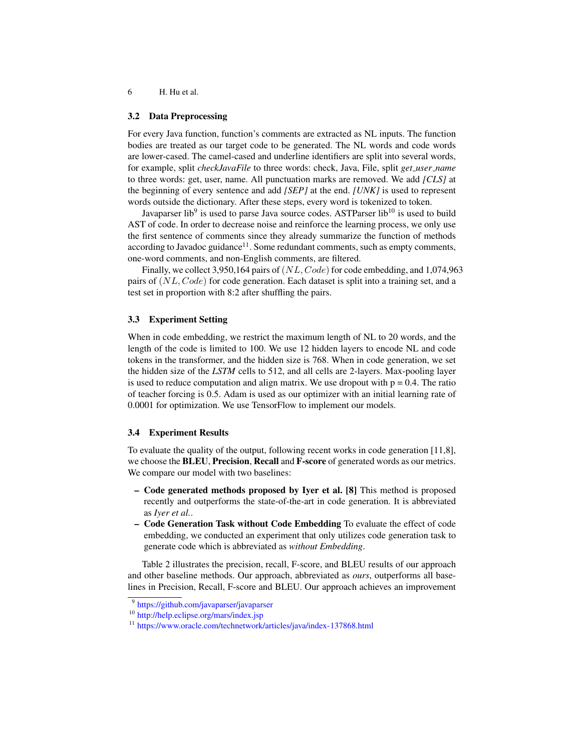#### 6 H. Hu et al.

#### <span id="page-5-0"></span>3.2 Data Preprocessing

For every Java function, function's comments are extracted as NL inputs. The function bodies are treated as our target code to be generated. The NL words and code words are lower-cased. The camel-cased and underline identifiers are split into several words, for example, split *checkJavaFile* to three words: check, Java, File, split *get user name* to three words: get, user, name. All punctuation marks are removed. We add *[CLS]* at the beginning of every sentence and add *[SEP]* at the end. *[UNK]* is used to represent words outside the dictionary. After these steps, every word is tokenized to token.

Javaparser lib<sup>[9](#page-5-1)</sup> is used to parse Java source codes. ASTParser lib<sup>[10](#page-5-2)</sup> is used to build AST of code. In order to decrease noise and reinforce the learning process, we only use the first sentence of comments since they already summarize the function of methods according to Javadoc guidance<sup>[11](#page-5-3)</sup>. Some redundant comments, such as empty comments, one-word comments, and non-English comments, are filtered.

Finally, we collect 3,950,164 pairs of  $(NL, Code)$  for code embedding, and 1,074,963 pairs of (NL, Code) for code generation. Each dataset is split into a training set, and a test set in proportion with 8:2 after shuffling the pairs.

#### 3.3 Experiment Setting

When in code embedding, we restrict the maximum length of NL to 20 words, and the length of the code is limited to 100. We use 12 hidden layers to encode NL and code tokens in the transformer, and the hidden size is 768. When in code generation, we set the hidden size of the *LSTM* cells to 512, and all cells are 2-layers. Max-pooling layer is used to reduce computation and align matrix. We use dropout with  $p = 0.4$ . The ratio of teacher forcing is 0.5. Adam is used as our optimizer with an initial learning rate of 0.0001 for optimization. We use TensorFlow to implement our models.

#### 3.4 Experiment Results

To evaluate the quality of the output, following recent works in code generation [\[11](#page-7-10)[,8\]](#page-7-3), we choose the BLEU, Precision, Recall and F-score of generated words as our metrics. We compare our model with two baselines:

- Code generated methods proposed by Iyer et al. [\[8\]](#page-7-3) This method is proposed recently and outperforms the state-of-the-art in code generation. It is abbreviated as *Iyer et al.*.
- Code Generation Task without Code Embedding To evaluate the effect of code embedding, we conducted an experiment that only utilizes code generation task to generate code which is abbreviated as *without Embedding*.

Table [2](#page-6-2) illustrates the precision, recall, F-score, and BLEU results of our approach and other baseline methods. Our approach, abbreviated as *ours*, outperforms all baselines in Precision, Recall, F-score and BLEU. Our approach achieves an improvement

<span id="page-5-1"></span><sup>&</sup>lt;sup>9</sup> <https://github.com/javaparser/javaparser>

<span id="page-5-2"></span><sup>10</sup> <http://help.eclipse.org/mars/index.jsp>

<span id="page-5-3"></span><sup>11</sup> <https://www.oracle.com/technetwork/articles/java/index-137868.html>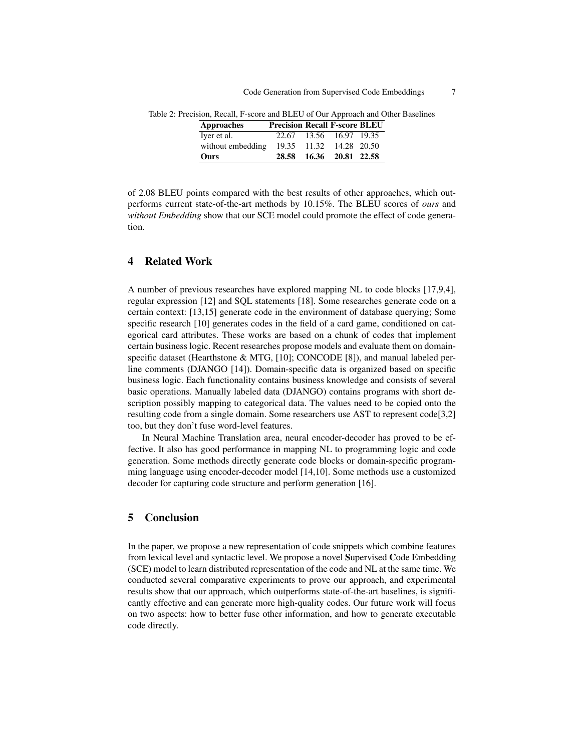| <b>Approaches</b> | <b>Precision Recall F-score BLEU</b> |                         |  |
|-------------------|--------------------------------------|-------------------------|--|
| Iyer et al.       | 22.67                                | 13.56 16.97 19.35       |  |
| without embedding |                                      | 19.35 11.32 14.28 20.50 |  |
| Ours              | 28.58                                | 16.36 20.81 22.58       |  |

<span id="page-6-2"></span>Table 2: Precision, Recall, F-score and BLEU of Our Approach and Other Baselines

of 2.08 BLEU points compared with the best results of other approaches, which outperforms current state-of-the-art methods by 10.15%. The BLEU scores of *ours* and *without Embedding* show that our SCE model could promote the effect of code generation.

## <span id="page-6-0"></span>4 Related Work

A number of previous researches have explored mapping NL to code blocks [\[17](#page-7-5)[,9](#page-7-6)[,4\]](#page-7-7), regular expression [\[12\]](#page-7-11) and SQL statements [\[18\]](#page-7-12). Some researches generate code on a certain context: [\[13](#page-7-13)[,15\]](#page-7-14) generate code in the environment of database querying; Some specific research [\[10\]](#page-7-9) generates codes in the field of a card game, conditioned on categorical card attributes. These works are based on a chunk of codes that implement certain business logic. Recent researches propose models and evaluate them on domainspecific dataset (Hearthstone & MTG, [\[10\]](#page-7-9); CONCODE [\[8\]](#page-7-3)), and manual labeled perline comments (DJANGO [\[14\]](#page-7-15)). Domain-specific data is organized based on specific business logic. Each functionality contains business knowledge and consists of several basic operations. Manually labeled data (DJANGO) contains programs with short description possibly mapping to categorical data. The values need to be copied onto the resulting code from a single domain. Some researchers use AST to represent code[\[3](#page-7-16)[,2\]](#page-7-17) too, but they don't fuse word-level features.

In Neural Machine Translation area, neural encoder-decoder has proved to be effective. It also has good performance in mapping NL to programming logic and code generation. Some methods directly generate code blocks or domain-specific programming language using encoder-decoder model [\[14](#page-7-15)[,10\]](#page-7-9). Some methods use a customized decoder for capturing code structure and perform generation [\[16\]](#page-7-4).

## <span id="page-6-1"></span>5 Conclusion

In the paper, we propose a new representation of code snippets which combine features from lexical level and syntactic level. We propose a novel Supervised Code Embedding (SCE) model to learn distributed representation of the code and NL at the same time. We conducted several comparative experiments to prove our approach, and experimental results show that our approach, which outperforms state-of-the-art baselines, is significantly effective and can generate more high-quality codes. Our future work will focus on two aspects: how to better fuse other information, and how to generate executable code directly.